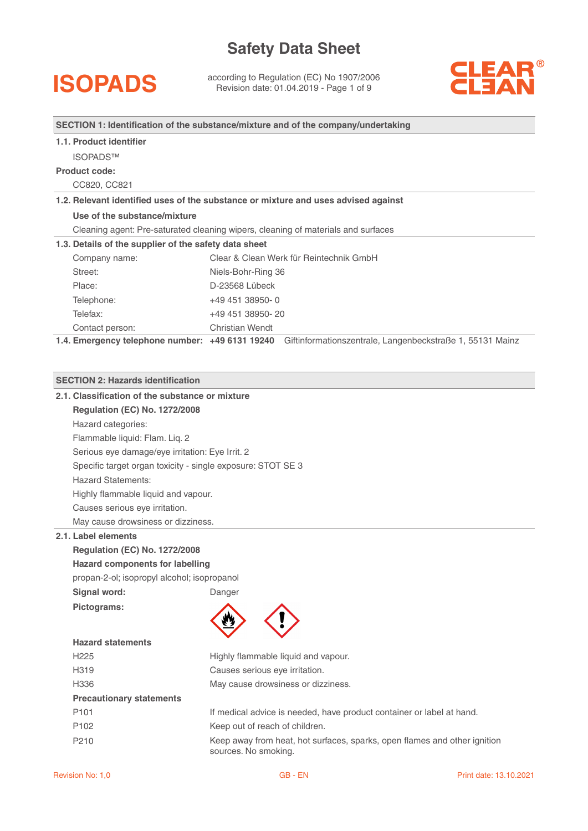**ISOPADS** according to Regulation (EC) No 1907/2006<br>
Revision date: 01.04.2019 - Page 1 of 9



#### **SECTION 1: Identification of the substance/mixture and of the company/undertaking**

#### **1.1. Product identifier**

ISOPADS™

#### **Product code:**

CC820, CC821

#### **1.2. Relevant identified uses of the substance or mixture and uses advised against**

**Use of the substance/mixture**

Cleaning agent: Pre-saturated cleaning wipers, cleaning of materials and surfaces

#### **1.3. Details of the supplier of the safety data sheet**

| Company name:   | Clear & Clean Werk für Reintechnik GmbH |
|-----------------|-----------------------------------------|
| Street:         | Niels-Bohr-Ring 36                      |
| Place:          | D-23568 Lübeck                          |
| Telephone:      | +49 451 38950-0                         |
| Telefax:        | +49 451 38950-20                        |
| Contact person: | <b>Christian Wendt</b>                  |

**1.4. Emergency telephone number: +49 6131 19240** Giftinformationszentrale, Langenbeckstraße 1, 55131 Mainz

#### **SECTION 2: Hazards identification**

|                                            | 2.1. Classification of the substance or mixture             |                                                                                                   |  |  |  |
|--------------------------------------------|-------------------------------------------------------------|---------------------------------------------------------------------------------------------------|--|--|--|
|                                            | <b>Regulation (EC) No. 1272/2008</b>                        |                                                                                                   |  |  |  |
|                                            | Hazard categories:                                          |                                                                                                   |  |  |  |
|                                            | Flammable liquid: Flam. Liq. 2                              |                                                                                                   |  |  |  |
|                                            | Serious eye damage/eye irritation: Eye Irrit. 2             |                                                                                                   |  |  |  |
|                                            | Specific target organ toxicity - single exposure: STOT SE 3 |                                                                                                   |  |  |  |
|                                            | <b>Hazard Statements:</b>                                   |                                                                                                   |  |  |  |
|                                            | Highly flammable liquid and vapour.                         |                                                                                                   |  |  |  |
|                                            | Causes serious eye irritation.                              |                                                                                                   |  |  |  |
|                                            | May cause drowsiness or dizziness.                          |                                                                                                   |  |  |  |
|                                            | 2.1. Label elements                                         |                                                                                                   |  |  |  |
|                                            | <b>Regulation (EC) No. 1272/2008</b>                        |                                                                                                   |  |  |  |
|                                            | <b>Hazard components for labelling</b>                      |                                                                                                   |  |  |  |
|                                            | propan-2-ol; isopropyl alcohol; isopropanol                 |                                                                                                   |  |  |  |
|                                            | Signal word:                                                | Danger                                                                                            |  |  |  |
|                                            | Pictograms:                                                 |                                                                                                   |  |  |  |
|                                            |                                                             |                                                                                                   |  |  |  |
|                                            | <b>Hazard statements</b>                                    |                                                                                                   |  |  |  |
|                                            | H <sub>225</sub>                                            | Highly flammable liquid and vapour.                                                               |  |  |  |
|                                            | H319                                                        | Causes serious eye irritation.                                                                    |  |  |  |
| H336<br>May cause drowsiness or dizziness. |                                                             |                                                                                                   |  |  |  |
|                                            | <b>Precautionary statements</b>                             |                                                                                                   |  |  |  |
|                                            | P <sub>101</sub>                                            | If medical advice is needed, have product container or label at hand.                             |  |  |  |
|                                            | P <sub>102</sub>                                            | Keep out of reach of children.                                                                    |  |  |  |
|                                            | P210                                                        | Keep away from heat, hot surfaces, sparks, open flames and other ignition<br>sources. No smoking. |  |  |  |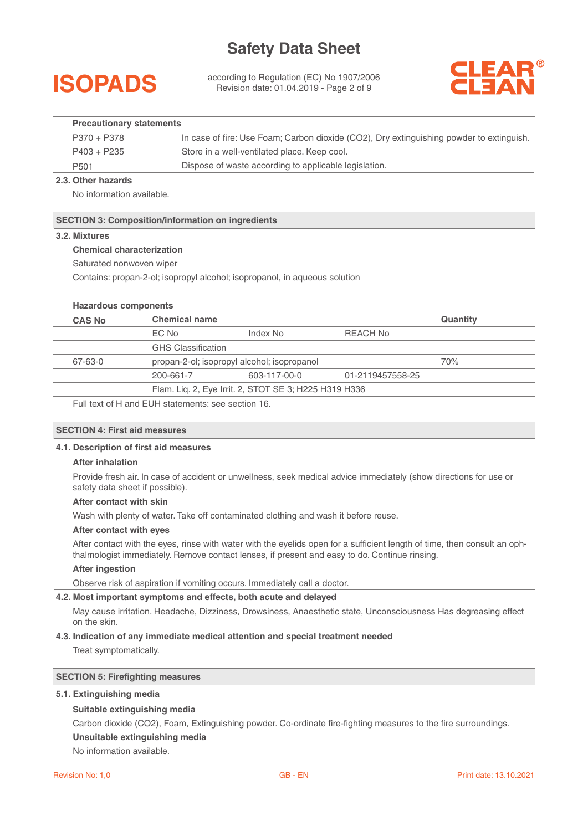

according to Regulation (EC) No 1907/2006 Revision date: 01.04.2019 - Page 2 of 9



#### **Precautionary statements**

| P370 + P378      | In case of fire: Use Foam; Carbon dioxide (CO2), Dry extinguishing powder to extinguish. |
|------------------|------------------------------------------------------------------------------------------|
| P403 + P235      | Store in a well-ventilated place. Keep cool.                                             |
| P <sub>501</sub> | Dispose of waste according to applicable legislation.                                    |

#### **2.3. Other hazards**

No information available.

#### **SECTION 3: Composition/information on ingredients**

#### **3.2. Mixtures**

#### **Chemical characterization**

Saturated nonwoven wiper

Contains: propan-2-ol; isopropyl alcohol; isopropanol, in aqueous solution

#### **Hazardous components**

| <b>CAS No</b> | <b>Chemical name</b>      |                                                       |                  | Quantity |
|---------------|---------------------------|-------------------------------------------------------|------------------|----------|
|               | EC No                     | Index No                                              | REACH No         |          |
|               | <b>GHS Classification</b> |                                                       |                  |          |
| 67-63-0       |                           | propan-2-ol; isopropyl alcohol; isopropanol           |                  | 70%      |
|               | 200-661-7                 | 603-117-00-0                                          | 01-2119457558-25 |          |
|               |                           | Flam. Liq. 2, Eye Irrit. 2, STOT SE 3; H225 H319 H336 |                  |          |

Full text of H and EUH statements: see section 16.

#### **SECTION 4: First aid measures**

#### **4.1. Description of first aid measures**

#### **After inhalation**

Provide fresh air. In case of accident or unwellness, seek medical advice immediately (show directions for use or safety data sheet if possible).

#### **After contact with skin**

Wash with plenty of water. Take off contaminated clothing and wash it before reuse.

#### **After contact with eyes**

After contact with the eyes, rinse with water with the eyelids open for a sufficient length of time, then consult an ophthalmologist immediately. Remove contact lenses, if present and easy to do. Continue rinsing.

#### **After ingestion**

Observe risk of aspiration if vomiting occurs. Immediately call a doctor.

#### **4.2. Most important symptoms and effects, both acute and delayed**

May cause irritation. Headache, Dizziness, Drowsiness, Anaesthetic state, Unconsciousness Has degreasing effect on the skin.

#### **4.3. Indication of any immediate medical attention and special treatment needed**  Treat symptomatically.

#### **SECTION 5: Firefighting measures**

#### **5.1. Extinguishing media**

#### **Suitable extinguishing media**

Carbon dioxide (CO2), Foam, Extinguishing powder. Co-ordinate fire-fighting measures to the fire surroundings.

**Unsuitable extinguishing media** 

No information available.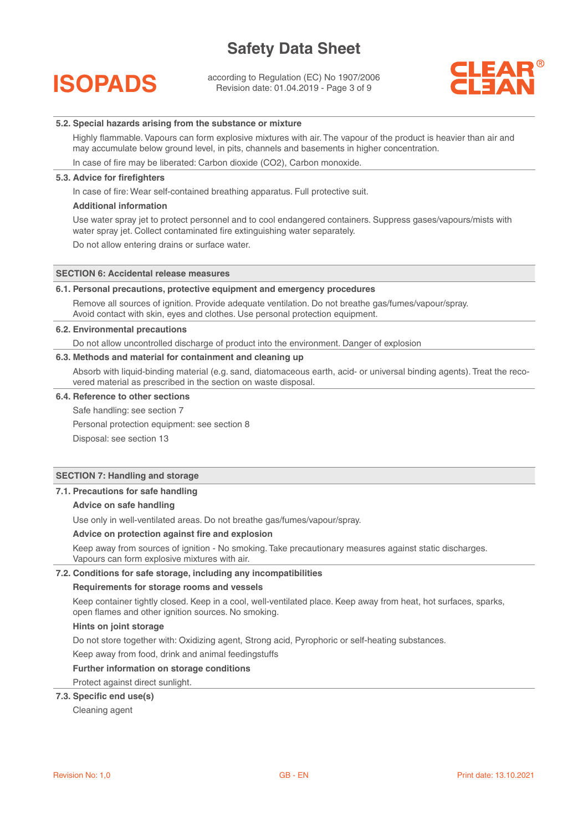

according to Regulation (EC) No 1907/2006 Revision date: 01.04.2019 - Page 3 of 9



#### **5.2. Special hazards arising from the substance or mixture**

Highly flammable. Vapours can form explosive mixtures with air. The vapour of the product is heavier than air and may accumulate below ground level, in pits, channels and basements in higher concentration.

In case of fire may be liberated: Carbon dioxide (CO2), Carbon monoxide.

#### **5.3. Advice for firefighters**

In case of fire: Wear self-contained breathing apparatus. Full protective suit.

#### **Additional information**

Use water spray jet to protect personnel and to cool endangered containers. Suppress gases/vapours/mists with water spray jet. Collect contaminated fire extinguishing water separately.

Do not allow entering drains or surface water.

#### **SECTION 6: Accidental release measures**

#### **6.1. Personal precautions, protective equipment and emergency procedures**

Remove all sources of ignition. Provide adequate ventilation. Do not breathe gas/fumes/vapour/spray. Avoid contact with skin, eyes and clothes. Use personal protection equipment.

#### **6.2. Environmental precautions**

Do not allow uncontrolled discharge of product into the environment. Danger of explosion

#### **6.3. Methods and material for containment and cleaning up**

Absorb with liquid-binding material (e.g. sand, diatomaceous earth, acid- or universal binding agents). Treat the recovered material as prescribed in the section on waste disposal.

#### **6.4. Reference to other sections**

Safe handling: see section 7

Personal protection equipment: see section 8

Disposal: see section 13

#### **SECTION 7: Handling and storage**

#### **7.1. Precautions for safe handling**

#### **Advice on safe handling**

Use only in well-ventilated areas. Do not breathe gas/fumes/vapour/spray.

#### **Advice on protection against fire and explosion**

Keep away from sources of ignition - No smoking. Take precautionary measures against static discharges. Vapours can form explosive mixtures with air.

#### **7.2. Conditions for safe storage, including any incompatibilities**

#### **Requirements for storage rooms and vessels**

Keep container tightly closed. Keep in a cool, well-ventilated place. Keep away from heat, hot surfaces, sparks, open flames and other ignition sources. No smoking.

#### **Hints on joint storage**

Do not store together with: Oxidizing agent, Strong acid, Pyrophoric or self-heating substances.

Keep away from food, drink and animal feedingstuffs

#### **Further information on storage conditions**

Protect against direct sunlight.

#### **7.3. Specific end use(s)**

Cleaning agent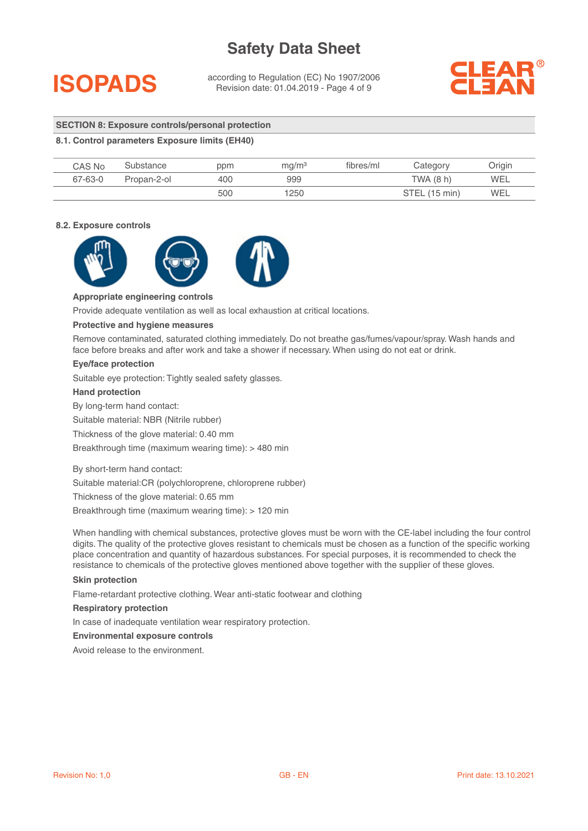## **ISOPADS**

according to Regulation (EC) No 1907/2006 Revision date: 01.04.2019 - Page 4 of 9



#### **SECTION 8: Exposure controls/personal protection**

#### **8.1. Control parameters Exposure limits (EH40)**

| CAS No  | Substance   | ppm | mq/m <sup>3</sup> | fibres/ml | Category      | Drigin     |
|---------|-------------|-----|-------------------|-----------|---------------|------------|
| 67-63-0 | Propan-2-ol | 400 | 999               |           | TWA (8 h)     | WEL        |
|         |             | 500 | 1250              |           | STEL (15 min) | <b>WEL</b> |

#### **8.2. Exposure controls**



#### **Appropriate engineering controls**

Provide adequate ventilation as well as local exhaustion at critical locations.

#### **Protective and hygiene measures**

Remove contaminated, saturated clothing immediately. Do not breathe gas/fumes/vapour/spray. Wash hands and face before breaks and after work and take a shower if necessary. When using do not eat or drink.

#### **Eye/face protection**

Suitable eye protection: Tightly sealed safety glasses.

#### **Hand protection**

By long-term hand contact:

Suitable material: NBR (Nitrile rubber)

Thickness of the glove material: 0.40 mm

Breakthrough time (maximum wearing time): > 480 min

By short-term hand contact:

Suitable material:CR (polychloroprene, chloroprene rubber)

Thickness of the glove material: 0.65 mm

Breakthrough time (maximum wearing time): > 120 min

When handling with chemical substances, protective gloves must be worn with the CE-label including the four control digits. The quality of the protective gloves resistant to chemicals must be chosen as a function of the specific working place concentration and quantity of hazardous substances. For special purposes, it is recommended to check the resistance to chemicals of the protective gloves mentioned above together with the supplier of these gloves.

#### **Skin protection**

Flame-retardant protective clothing. Wear anti-static footwear and clothing

#### **Respiratory protection**

In case of inadequate ventilation wear respiratory protection.

#### **Environmental exposure controls**

Avoid release to the environment.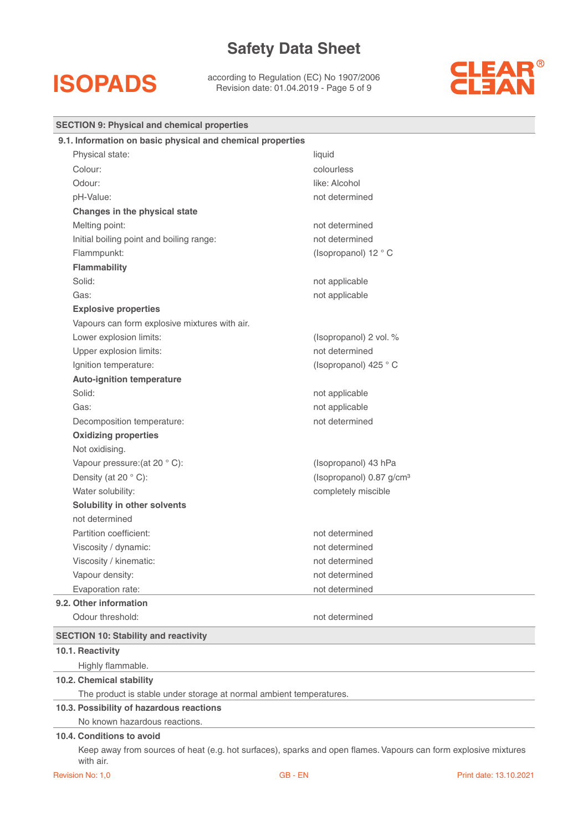## **ISOPADS**

according to Regulation (EC) No 1907/2006 Revision date: 01.04.2019 - Page 5 of 9



| <b>SECTION 9: Physical and chemical properties</b>                  |                                      |  |
|---------------------------------------------------------------------|--------------------------------------|--|
| 9.1. Information on basic physical and chemical properties          |                                      |  |
| Physical state:                                                     | liquid                               |  |
| Colour:                                                             | colourless                           |  |
| Odour:                                                              | like: Alcohol                        |  |
| pH-Value:                                                           | not determined                       |  |
| Changes in the physical state                                       |                                      |  |
| Melting point:                                                      | not determined                       |  |
| Initial boiling point and boiling range:                            | not determined                       |  |
| Flammpunkt:                                                         | (Isopropanol) 12 ° C                 |  |
| Flammability                                                        |                                      |  |
| Solid:                                                              | not applicable                       |  |
| Gas:                                                                | not applicable                       |  |
| <b>Explosive properties</b>                                         |                                      |  |
| Vapours can form explosive mixtures with air.                       |                                      |  |
| Lower explosion limits:                                             | (Isopropanol) 2 vol. %               |  |
| Upper explosion limits:                                             | not determined                       |  |
| Ignition temperature:                                               | (Isopropanol) 425 °C                 |  |
| <b>Auto-ignition temperature</b>                                    |                                      |  |
| Solid:                                                              | not applicable                       |  |
| Gas:                                                                | not applicable                       |  |
| Decomposition temperature:                                          | not determined                       |  |
| <b>Oxidizing properties</b>                                         |                                      |  |
| Not oxidising.                                                      |                                      |  |
| Vapour pressure: (at 20 °C):                                        | (Isopropanol) 43 hPa                 |  |
| Density (at 20 °C):                                                 | (Isopropanol) 0.87 g/cm <sup>3</sup> |  |
| Water solubility:                                                   | completely miscible                  |  |
| Solubility in other solvents                                        |                                      |  |
| not determined                                                      |                                      |  |
| Partition coefficient:                                              | not determined                       |  |
| Viscosity / dynamic:                                                | not determined                       |  |
| Viscosity / kinematic:                                              | not determined                       |  |
| Vapour density:                                                     | not determined                       |  |
| Evaporation rate:                                                   | not determined                       |  |
| 9.2. Other information                                              |                                      |  |
| Odour threshold:                                                    | not determined                       |  |
| <b>SECTION 10: Stability and reactivity</b>                         |                                      |  |
| 10.1. Reactivity                                                    |                                      |  |
| Highly flammable.                                                   |                                      |  |
| 10.2. Chemical stability                                            |                                      |  |
| The product is stable under storage at normal ambient temperatures. |                                      |  |
| 10.3. Possibility of hazardous reactions                            |                                      |  |
| No known hazardous reactions.                                       |                                      |  |
| 10.4. Conditions to avoid                                           |                                      |  |

Keep away from sources of heat (e.g. hot surfaces), sparks and open flames. Vapours can form explosive mixtures with air.

Ξ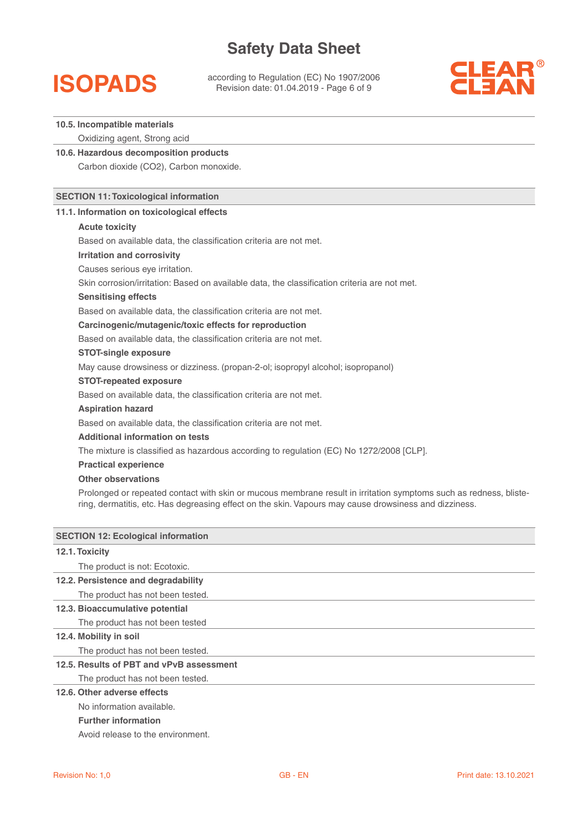## **ISOPADS**

according to Regulation (EC) No 1907/2006 Revision date: 01.04.2019 - Page 6 of 9



#### **10.5. Incompatible materials**

Oxidizing agent, Strong acid

**10.6. Hazardous decomposition products**  Carbon dioxide (CO2), Carbon monoxide.

#### **SECTION 11: Toxicological information**

#### **11.1. Information on toxicological effects**

#### **Acute toxicity**

Based on available data, the classification criteria are not met.

#### **Irritation and corrosivity**

Causes serious eye irritation.

Skin corrosion/irritation: Based on available data, the classification criteria are not met.

#### **Sensitising effects**

Based on available data, the classification criteria are not met.

#### **Carcinogenic/mutagenic/toxic effects for reproduction**

Based on available data, the classification criteria are not met.

#### **STOT-single exposure**

May cause drowsiness or dizziness. (propan-2-ol; isopropyl alcohol; isopropanol)

#### **STOT-repeated exposure**

Based on available data, the classification criteria are not met.

#### **Aspiration hazard**

Based on available data, the classification criteria are not met.

#### **Additional information on tests**

The mixture is classified as hazardous according to regulation (EC) No 1272/2008 [CLP].

#### **Practical experience**

#### **Other observations**

Prolonged or repeated contact with skin or mucous membrane result in irritation symptoms such as redness, blistering, dermatitis, etc. Has degreasing effect on the skin. Vapours may cause drowsiness and dizziness.

| <b>SECTION 12: Ecological information</b> |  |  |
|-------------------------------------------|--|--|
| 12.1. Toxicity                            |  |  |
| The product is not: Ecotoxic.             |  |  |
| 12.2. Persistence and degradability       |  |  |
| The product has not been tested.          |  |  |
| 12.3. Bioaccumulative potential           |  |  |
| The product has not been tested           |  |  |
| 12.4. Mobility in soil                    |  |  |
| The product has not been tested.          |  |  |
| 12.5. Results of PBT and vPvB assessment  |  |  |
| The product has not been tested.          |  |  |
| 12.6. Other adverse effects               |  |  |
| No information available.                 |  |  |
|                                           |  |  |

### **Further information**

Avoid release to the environment.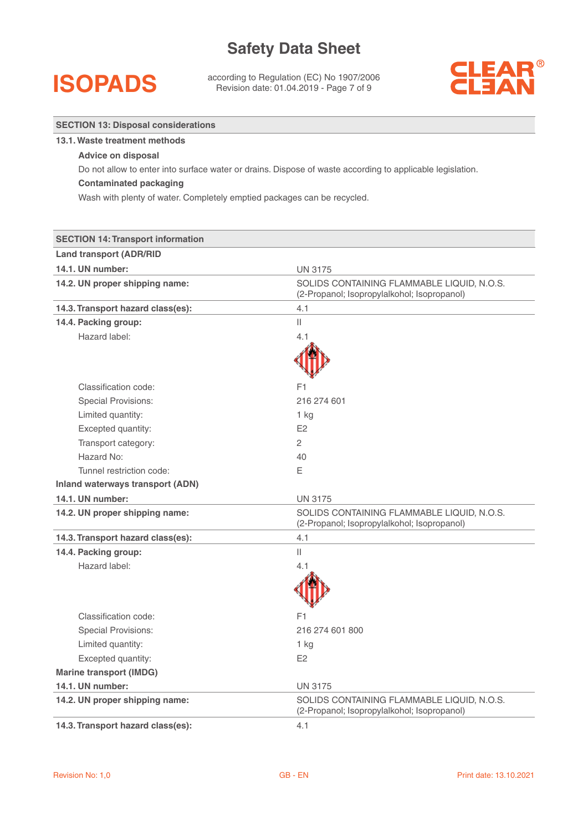## **ISOPADS**

**SECTION 13: Disposal considerations**

according to Regulation (EC) No 1907/2006 Revision date: 01.04.2019 - Page 7 of 9



| 13.1. Waste treatment methods                                           |                                                                                                           |  |  |  |
|-------------------------------------------------------------------------|-----------------------------------------------------------------------------------------------------------|--|--|--|
| <b>Advice on disposal</b>                                               |                                                                                                           |  |  |  |
|                                                                         | Do not allow to enter into surface water or drains. Dispose of waste according to applicable legislation. |  |  |  |
| <b>Contaminated packaging</b>                                           |                                                                                                           |  |  |  |
| Wash with plenty of water. Completely emptied packages can be recycled. |                                                                                                           |  |  |  |
|                                                                         |                                                                                                           |  |  |  |
|                                                                         |                                                                                                           |  |  |  |
| <b>SECTION 14: Transport information</b>                                |                                                                                                           |  |  |  |
| <b>Land transport (ADR/RID</b>                                          |                                                                                                           |  |  |  |
| 14.1. UN number:                                                        | <b>UN 3175</b>                                                                                            |  |  |  |
| 14.2. UN proper shipping name:                                          | SOLIDS CONTAINING FLAMMABLE LIQUID, N.O.S.<br>(2-Propanol; Isopropylalkohol; Isopropanol)                 |  |  |  |
| 14.3. Transport hazard class(es):                                       | 4.1                                                                                                       |  |  |  |
| 14.4. Packing group:                                                    | $\vert\vert$                                                                                              |  |  |  |
| Hazard label:                                                           | 4.1                                                                                                       |  |  |  |
|                                                                         |                                                                                                           |  |  |  |
|                                                                         |                                                                                                           |  |  |  |
| Classification code:                                                    | F1                                                                                                        |  |  |  |
| <b>Special Provisions:</b>                                              | 216 274 601                                                                                               |  |  |  |
| Limited quantity:                                                       | 1 kg                                                                                                      |  |  |  |
| Excepted quantity:                                                      | E2                                                                                                        |  |  |  |
| Transport category:                                                     | 2                                                                                                         |  |  |  |
| Hazard No:                                                              | 40                                                                                                        |  |  |  |
| Tunnel restriction code:                                                | Ε                                                                                                         |  |  |  |
| <b>Inland waterways transport (ADN)</b>                                 |                                                                                                           |  |  |  |
| 14.1. UN number:                                                        | <b>UN 3175</b>                                                                                            |  |  |  |
| 14.2. UN proper shipping name:                                          | SOLIDS CONTAINING FLAMMABLE LIQUID, N.O.S.<br>(2-Propanol; Isopropylalkohol; Isopropanol)                 |  |  |  |
| 14.3. Transport hazard class(es):                                       | 4.1                                                                                                       |  |  |  |
| 14.4. Packing group:                                                    | Ш                                                                                                         |  |  |  |
| Hazard label:                                                           | 4.1                                                                                                       |  |  |  |
|                                                                         | Л                                                                                                         |  |  |  |
|                                                                         |                                                                                                           |  |  |  |
| Classification code:                                                    | F1                                                                                                        |  |  |  |
| <b>Special Provisions:</b>                                              | 216 274 601 800                                                                                           |  |  |  |
| Limited quantity:                                                       | 1 kg                                                                                                      |  |  |  |
| Excepted quantity:                                                      | E <sub>2</sub>                                                                                            |  |  |  |
| <b>Marine transport (IMDG)</b>                                          |                                                                                                           |  |  |  |
| 14.1. UN number:                                                        | <b>UN 3175</b>                                                                                            |  |  |  |
| 14.2. UN proper shipping name:                                          | SOLIDS CONTAINING FLAMMABLE LIQUID, N.O.S.<br>(2-Propanol; Isopropylalkohol; Isopropanol)                 |  |  |  |
| 14.3. Transport hazard class(es):                                       | 4.1                                                                                                       |  |  |  |
|                                                                         |                                                                                                           |  |  |  |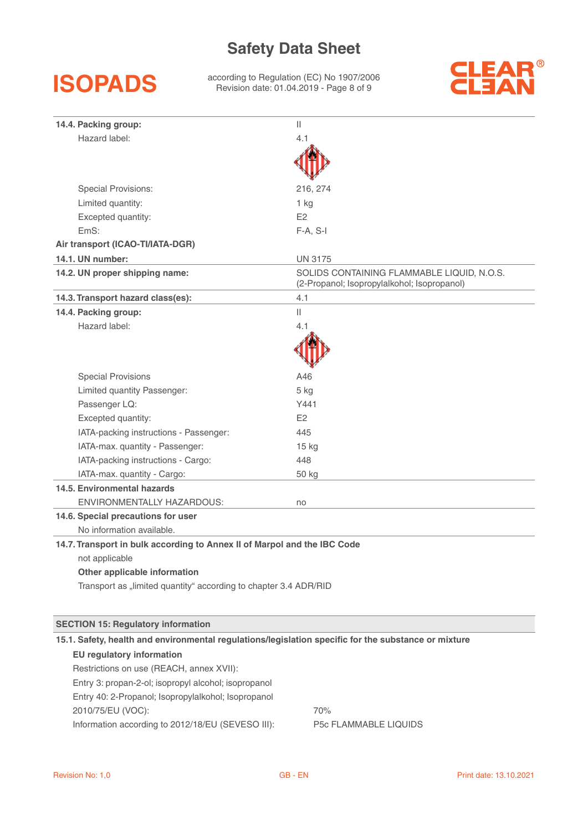

according to Regulation (EC) No 1907/2006 Revision date: 01.04.2019 - Page 8 of 9



| 14.4. Packing group:                                                                                 | Ш                                                                                         |  |  |  |
|------------------------------------------------------------------------------------------------------|-------------------------------------------------------------------------------------------|--|--|--|
| Hazard label:                                                                                        | 4.1                                                                                       |  |  |  |
|                                                                                                      |                                                                                           |  |  |  |
| <b>Special Provisions:</b>                                                                           | 216, 274                                                                                  |  |  |  |
| Limited quantity:                                                                                    | 1 kg                                                                                      |  |  |  |
| Excepted quantity:                                                                                   | E <sub>2</sub>                                                                            |  |  |  |
| EmS:                                                                                                 | $F-A, S-I$                                                                                |  |  |  |
| Air transport (ICAO-TI/IATA-DGR)                                                                     |                                                                                           |  |  |  |
| 14.1. UN number:                                                                                     | <b>UN 3175</b>                                                                            |  |  |  |
| 14.2. UN proper shipping name:                                                                       | SOLIDS CONTAINING FLAMMABLE LIQUID, N.O.S.<br>(2-Propanol; Isopropylalkohol; Isopropanol) |  |  |  |
| 14.3. Transport hazard class(es):                                                                    | 4.1                                                                                       |  |  |  |
| 14.4. Packing group:                                                                                 | $\mathbf{  }$                                                                             |  |  |  |
| Hazard label:                                                                                        | 4.1                                                                                       |  |  |  |
|                                                                                                      |                                                                                           |  |  |  |
| <b>Special Provisions</b>                                                                            | A46                                                                                       |  |  |  |
| Limited quantity Passenger:                                                                          | 5 kg                                                                                      |  |  |  |
| Passenger LQ:                                                                                        | Y441                                                                                      |  |  |  |
| Excepted quantity:                                                                                   | E2                                                                                        |  |  |  |
| IATA-packing instructions - Passenger:                                                               | 445                                                                                       |  |  |  |
| IATA-max. quantity - Passenger:                                                                      | 15 kg                                                                                     |  |  |  |
| IATA-packing instructions - Cargo:                                                                   | 448                                                                                       |  |  |  |
| IATA-max. quantity - Cargo:                                                                          | 50 kg                                                                                     |  |  |  |
| 14.5. Environmental hazards                                                                          |                                                                                           |  |  |  |
| <b>ENVIRONMENTALLY HAZARDOUS:</b>                                                                    | no                                                                                        |  |  |  |
| 14.6. Special precautions for user                                                                   |                                                                                           |  |  |  |
| No information available.                                                                            |                                                                                           |  |  |  |
| 14.7. Transport in bulk according to Annex II of Marpol and the IBC Code                             |                                                                                           |  |  |  |
| not applicable                                                                                       |                                                                                           |  |  |  |
| Other applicable information                                                                         |                                                                                           |  |  |  |
| Transport as "limited quantity" according to chapter 3.4 ADR/RID                                     |                                                                                           |  |  |  |
|                                                                                                      |                                                                                           |  |  |  |
| <b>SECTION 15: Regulatory information</b>                                                            |                                                                                           |  |  |  |
| 15.1. Safety, health and environmental regulations/legislation specific for the substance or mixture |                                                                                           |  |  |  |
| <b>EU</b> regulatory information                                                                     |                                                                                           |  |  |  |
| Restrictions on use (REACH, annex XVII):                                                             |                                                                                           |  |  |  |
| Entry 3: propan-2-ol; isopropyl alcohol; isopropanol                                                 |                                                                                           |  |  |  |
| Entry 40: 2-Propanol; Isopropylalkohol; Isopropanol                                                  |                                                                                           |  |  |  |
| 2010/75/EU (VOC):                                                                                    | 70%                                                                                       |  |  |  |

Information according to 2012/18/EU (SEVESO III): P5c FLAMMABLE LIQUIDS